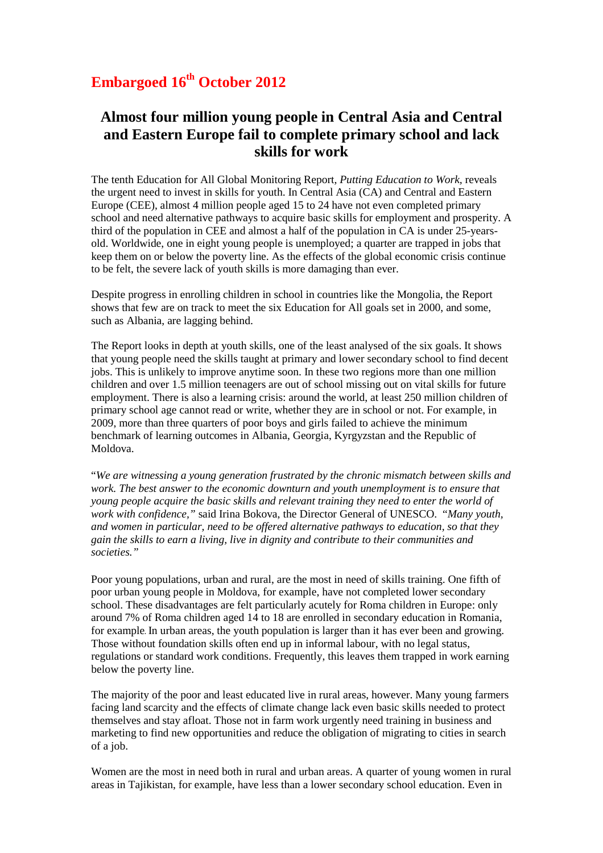## **Embargoed 16th October 2012**

## **Almost four million young people in Central Asia and Central and Eastern Europe fail to complete primary school and lack skills for work**

The tenth Education for All Global Monitoring Report*, Putting Education to Work,* reveals the urgent need to invest in skills for youth. In Central Asia (CA) and Central and Eastern Europe (CEE), almost 4 million people aged 15 to 24 have not even completed primary school and need alternative pathways to acquire basic skills for employment and prosperity. A third of the population in CEE and almost a half of the population in CA is under 25-yearsold. Worldwide, one in eight young people is unemployed; a quarter are trapped in jobs that keep them on or below the poverty line. As the effects of the global economic crisis continue to be felt, the severe lack of youth skills is more damaging than ever.

Despite progress in enrolling children in school in countries like the Mongolia, the Report shows that few are on track to meet the six Education for All goals set in 2000, and some, such as Albania, are lagging behind.

The Report looks in depth at youth skills, one of the least analysed of the six goals. It shows that young people need the skills taught at primary and lower secondary school to find decent jobs. This is unlikely to improve anytime soon. In these two regions more than one million children and over 1.5 million teenagers are out of school missing out on vital skills for future employment. There is also a learning crisis: around the world, at least 250 million children of primary school age cannot read or write, whether they are in school or not. For example, in 2009, more than three quarters of poor boys and girls failed to achieve the minimum benchmark of learning outcomes in Albania, Georgia, Kyrgyzstan and the Republic of Moldova.

"*We are witnessing a young generation frustrated by the chronic mismatch between skills and work. The best answer to the economic downturn and youth unemployment is to ensure that young people acquire the basic skills and relevant training they need to enter the world of work with confidence,"* said Irina Bokova, the Director General of UNESCO. "*Many youth, and women in particular, need to be offered alternative pathways to education, so that they gain the skills to earn a living, live in dignity and contribute to their communities and societies."*

Poor young populations, urban and rural, are the most in need of skills training. One fifth of poor urban young people in Moldova, for example, have not completed lower secondary school. These disadvantages are felt particularly acutely for Roma children in Europe: only around 7% of Roma children aged 14 to 18 are enrolled in secondary education in Romania, for example. In urban areas, the youth population is larger than it has ever been and growing. Those without foundation skills often end up in informal labour, with no legal status, regulations or standard work conditions. Frequently, this leaves them trapped in work earning below the poverty line.

The majority of the poor and least educated live in rural areas, however. Many young farmers facing land scarcity and the effects of climate change lack even basic skills needed to protect themselves and stay afloat. Those not in farm work urgently need training in business and marketing to find new opportunities and reduce the obligation of migrating to cities in search of a job.

Women are the most in need both in rural and urban areas. A quarter of young women in rural areas in Tajikistan, for example, have less than a lower secondary school education. Even in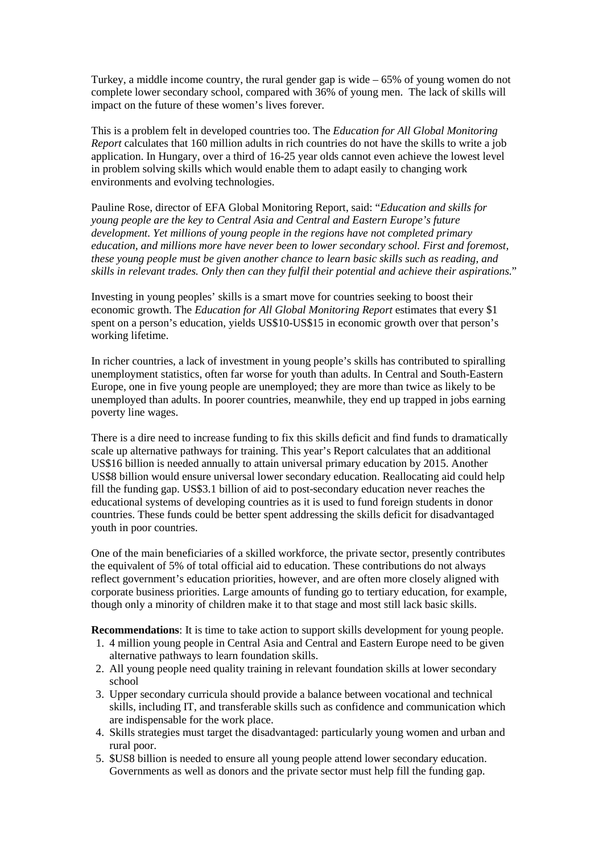Turkey, a middle income country, the rural gender gap is wide – 65% of young women do not complete lower secondary school, compared with 36% of young men. The lack of skills will impact on the future of these women's lives forever.

This is a problem felt in developed countries too. The *Education for All Global Monitoring Report* calculates that 160 million adults in rich countries do not have the skills to write a job application. In Hungary, over a third of 16-25 year olds cannot even achieve the lowest level in problem solving skills which would enable them to adapt easily to changing work environments and evolving technologies.

Pauline Rose, director of EFA Global Monitoring Report, said: "*Education and skills for young people are the key to Central Asia and Central and Eastern Europe's future development. Yet millions of young people in the regions have not completed primary education, and millions more have never been to lower secondary school. First and foremost, these young people must be given another chance to learn basic skills such as reading, and skills in relevant trades. Only then can they fulfil their potential and achieve their aspirations.*"

Investing in young peoples' skills is a smart move for countries seeking to boost their economic growth. The *Education for All Global Monitoring Report* estimates that every \$1 spent on a person's education, yields US\$10-US\$15 in economic growth over that person's working lifetime.

In richer countries, a lack of investment in young people's skills has contributed to spiralling unemployment statistics, often far worse for youth than adults. In Central and South-Eastern Europe, one in five young people are unemployed; they are more than twice as likely to be unemployed than adults. In poorer countries, meanwhile, they end up trapped in jobs earning poverty line wages.

There is a dire need to increase funding to fix this skills deficit and find funds to dramatically scale up alternative pathways for training. This year's Report calculates that an additional US\$16 billion is needed annually to attain universal primary education by 2015. Another US\$8 billion would ensure universal lower secondary education. Reallocating aid could help fill the funding gap. US\$3.1 billion of aid to post-secondary education never reaches the educational systems of developing countries as it is used to fund foreign students in donor countries. These funds could be better spent addressing the skills deficit for disadvantaged youth in poor countries.

One of the main beneficiaries of a skilled workforce, the private sector, presently contributes the equivalent of 5% of total official aid to education. These contributions do not always reflect government's education priorities, however, and are often more closely aligned with corporate business priorities. Large amounts of funding go to tertiary education, for example, though only a minority of children make it to that stage and most still lack basic skills.

**Recommendations**: It is time to take action to support skills development for young people.

- 1. 4 million young people in Central Asia and Central and Eastern Europe need to be given alternative pathways to learn foundation skills.
- 2. All young people need quality training in relevant foundation skills at lower secondary school
- 3. Upper secondary curricula should provide a balance between vocational and technical skills, including IT, and transferable skills such as confidence and communication which are indispensable for the work place.
- 4. Skills strategies must target the disadvantaged: particularly young women and urban and rural poor.
- 5. \$US8 billion is needed to ensure all young people attend lower secondary education. Governments as well as donors and the private sector must help fill the funding gap.